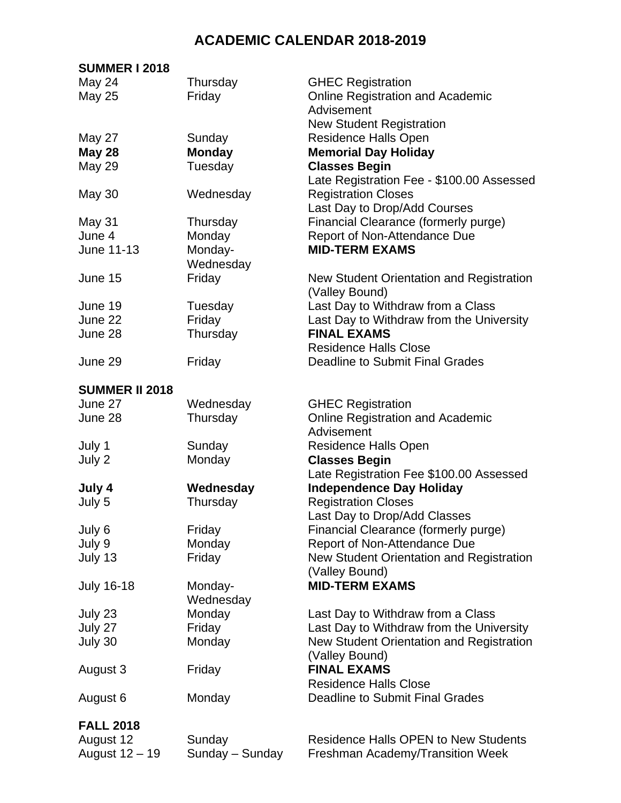## **ACADEMIC CALENDAR 2018-2019**

## **SUMMER I 2018**

| May 24                | Thursday        | <b>GHEC Registration</b>                    |
|-----------------------|-----------------|---------------------------------------------|
| <b>May 25</b>         | Friday          | <b>Online Registration and Academic</b>     |
|                       |                 | Advisement                                  |
|                       |                 | <b>New Student Registration</b>             |
| <b>May 27</b>         | Sunday          | <b>Residence Halls Open</b>                 |
| <b>May 28</b>         | <b>Monday</b>   | <b>Memorial Day Holiday</b>                 |
| <b>May 29</b>         | Tuesday         | <b>Classes Begin</b>                        |
|                       |                 | Late Registration Fee - \$100.00 Assessed   |
| May 30                | Wednesday       | <b>Registration Closes</b>                  |
|                       |                 | Last Day to Drop/Add Courses                |
| May 31                | Thursday        | Financial Clearance (formerly purge)        |
| June 4                | Monday          | Report of Non-Attendance Due                |
| June 11-13            | Monday-         | <b>MID-TERM EXAMS</b>                       |
|                       | Wednesday       |                                             |
| June 15               | Friday          | New Student Orientation and Registration    |
|                       |                 | (Valley Bound)                              |
| June 19               | Tuesday         | Last Day to Withdraw from a Class           |
| June 22               | Friday          | Last Day to Withdraw from the University    |
| June 28               | Thursday        | <b>FINAL EXAMS</b>                          |
|                       |                 | <b>Residence Halls Close</b>                |
| June 29               | Friday          | Deadline to Submit Final Grades             |
|                       |                 |                                             |
| <b>SUMMER II 2018</b> |                 |                                             |
| June 27               | Wednesday       | <b>GHEC Registration</b>                    |
| June 28               | Thursday        | <b>Online Registration and Academic</b>     |
|                       |                 | Advisement                                  |
| July 1                | Sunday          | <b>Residence Halls Open</b>                 |
| July 2                | Monday          | <b>Classes Begin</b>                        |
|                       |                 | Late Registration Fee \$100.00 Assessed     |
| July 4                | Wednesday       | <b>Independence Day Holiday</b>             |
| July 5                | Thursday        | <b>Registration Closes</b>                  |
|                       |                 | Last Day to Drop/Add Classes                |
| July 6                | Friday          | Financial Clearance (formerly purge)        |
| July 9                | Monday          | Report of Non-Attendance Due                |
| July 13               | Friday          | New Student Orientation and Registration    |
|                       |                 | (Valley Bound)                              |
| <b>July 16-18</b>     | Monday-         | <b>MID-TERM EXAMS</b>                       |
|                       | Wednesday       |                                             |
| July 23               | Monday          | Last Day to Withdraw from a Class           |
| July 27               | Friday          | Last Day to Withdraw from the University    |
| July 30               | Monday          | New Student Orientation and Registration    |
|                       |                 | (Valley Bound)                              |
| August 3              | Friday          | <b>FINAL EXAMS</b>                          |
|                       |                 | <b>Residence Halls Close</b>                |
|                       |                 |                                             |
| August 6              | Monday          | <b>Deadline to Submit Final Grades</b>      |
| <b>FALL 2018</b>      |                 |                                             |
| August 12             | Sunday          | <b>Residence Halls OPEN to New Students</b> |
| August 12 - 19        | Sunday - Sunday | Freshman Academy/Transition Week            |
|                       |                 |                                             |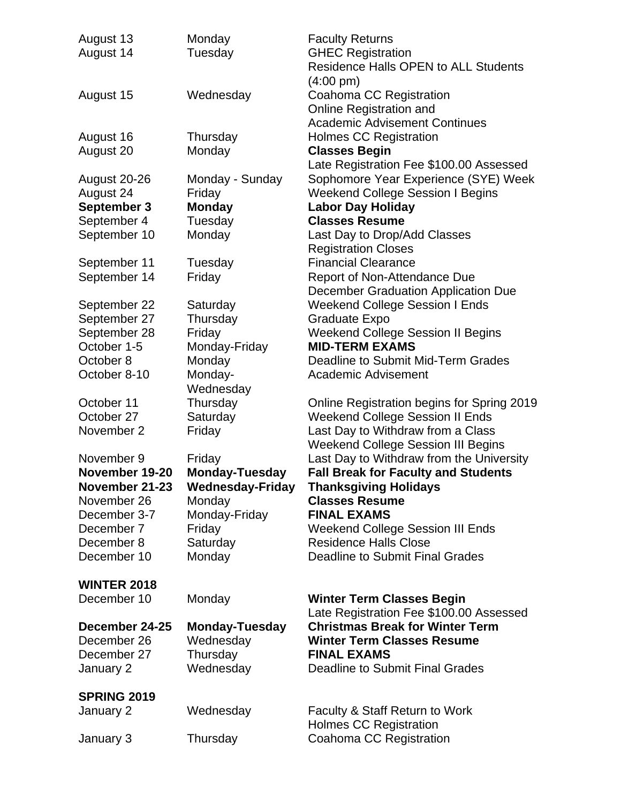| August 13          | Monday                | <b>Faculty Returns</b>                      |
|--------------------|-----------------------|---------------------------------------------|
| August 14          | Tuesday               | <b>GHEC Registration</b>                    |
|                    |                       | <b>Residence Halls OPEN to ALL Students</b> |
|                    |                       | $(4:00 \text{ pm})$                         |
| August 15          | Wednesday             | Coahoma CC Registration                     |
|                    |                       | Online Registration and                     |
|                    |                       | <b>Academic Advisement Continues</b>        |
| August 16          | Thursday              | <b>Holmes CC Registration</b>               |
|                    |                       |                                             |
| August 20          | Monday                | <b>Classes Begin</b>                        |
|                    |                       | Late Registration Fee \$100.00 Assessed     |
| August 20-26       | Monday - Sunday       | Sophomore Year Experience (SYE) Week        |
| August 24          | Friday                | <b>Weekend College Session I Begins</b>     |
| September 3        | <b>Monday</b>         | <b>Labor Day Holiday</b>                    |
| September 4        | Tuesday               | <b>Classes Resume</b>                       |
| September 10       | Monday                | Last Day to Drop/Add Classes                |
|                    |                       | <b>Registration Closes</b>                  |
| September 11       | Tuesday               | <b>Financial Clearance</b>                  |
| September 14       | Friday                | Report of Non-Attendance Due                |
|                    |                       | December Graduation Application Due         |
| September 22       | Saturday              | <b>Weekend College Session I Ends</b>       |
| September 27       | Thursday              | <b>Graduate Expo</b>                        |
| September 28       |                       |                                             |
|                    | Friday                | <b>Weekend College Session II Begins</b>    |
| October 1-5        | Monday-Friday         | <b>MID-TERM EXAMS</b>                       |
| October 8          | Monday                | Deadline to Submit Mid-Term Grades          |
| October 8-10       | Monday-               | <b>Academic Advisement</b>                  |
|                    | Wednesday             |                                             |
| October 11         | Thursday              | Online Registration begins for Spring 2019  |
| October 27         | Saturday              | <b>Weekend College Session II Ends</b>      |
| November 2         | Friday                | Last Day to Withdraw from a Class           |
|                    |                       | <b>Weekend College Session III Begins</b>   |
| November 9         | Friday                | Last Day to Withdraw from the University    |
| November 19-20     | <b>Monday-Tuesday</b> | <b>Fall Break for Faculty and Students</b>  |
| November 21-23     | Wednesday-Friday      | <b>Thanksgiving Holidays</b>                |
| November 26        | <b>Monday</b>         | <b>Classes Resume</b>                       |
| December 3-7       | Monday-Friday         | <b>FINAL EXAMS</b>                          |
| December 7         | Friday                | <b>Weekend College Session III Ends</b>     |
|                    |                       |                                             |
| December 8         | Saturday              | <b>Residence Halls Close</b>                |
| December 10        | Monday                | <b>Deadline to Submit Final Grades</b>      |
|                    |                       |                                             |
| <b>WINTER 2018</b> |                       |                                             |
| December 10        | Monday                | <b>Winter Term Classes Begin</b>            |
|                    |                       | Late Registration Fee \$100.00 Assessed     |
| December 24-25     | <b>Monday-Tuesday</b> | <b>Christmas Break for Winter Term</b>      |
| December 26        | Wednesday             | <b>Winter Term Classes Resume</b>           |
| December 27        | Thursday              | <b>FINAL EXAMS</b>                          |
| January 2          | Wednesday             | Deadline to Submit Final Grades             |
|                    |                       |                                             |
| <b>SPRING 2019</b> |                       |                                             |
| January 2          | Wednesday             | Faculty & Staff Return to Work              |
|                    |                       | <b>Holmes CC Registration</b>               |
| January 3          |                       |                                             |
|                    | Thursday              | Coahoma CC Registration                     |